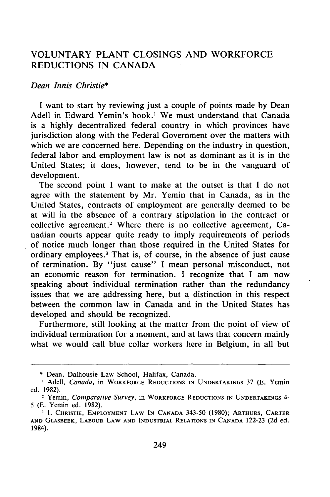## VOLUNTARY **PLANT** CLOSINGS **AND** WORKFORCE REDUCTIONS IN CANADA

## *Dean Innis Christie\**

I want to start by reviewing just a couple of points made by Dean Adell in Edward Yemin's book.' We must understand that Canada is a highly decentralized federal country in which provinces have jurisdiction along with the Federal Government over the matters with which we are concerned here. Depending on the industry in question, federal labor and employment law is not as dominant as it is in the United States; it does, however, tend to be in the vanguard of development.

The second point I want to make at the outset is that I do not agree with the statement by Mr. Yemin that in Canada, as in the United States, contracts of employment are generally deemed to be at will in the absence of a contrary stipulation in the contract or collective agreement.<sup>2</sup> Where there is no collective agreement, Canadian courts appear quite ready to imply requirements of periods of notice much longer than those required in the United States for ordinary employees.3 That is, of course, in the absence of just cause of termination. By "just cause" I mean personal misconduct, not an economic reason for termination. I recognize that I am now speaking about individual termination rather than the redundancy issues that we are addressing here, but a distinction in this respect between the common law in Canada and in the United States has developed and should be recognized.

Furthermore, still looking at the matter from the point of view of individual termination for a moment, and at laws that concern mainly what we would call blue collar workers here in Belgium, in all but

<sup>\*</sup> Dean, Dalhousie Law School, Halifax, Canada.

Adell, Canada, in WORKFORCE REDUCTIONS **IN** UNDERTAKINGS 37 **(E.** Yemin ed. 1982).

<sup>&</sup>lt;sup>2</sup> Yemin, Comparative Survey, in WORKFORCE REDUCTIONS IN UNDERTAKINGS 4-5 **(E.** Yemin ed. 1982).

**<sup>&#</sup>x27;I. CHRISTIE,** EMPLOYMENT LAW **IN CANADA** 343-50 (1980); ARTHURS, **CARTER AND GLASBEEK,** LABOUR LAW **AND INDUSTRIAL RELATIONS IN CANADA** 122-23 (2d ed. 1984).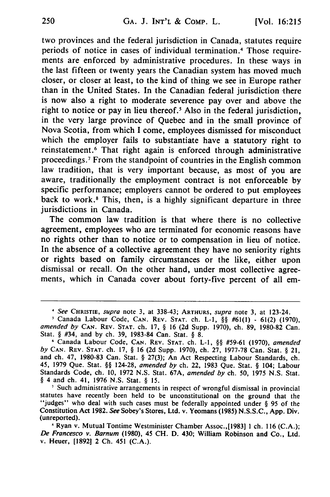two provinces and the federal jurisdiction in Canada, statutes require periods of notice in cases of individual termination.<sup>4</sup> Those requirements are enforced by administrative procedures. In these ways in the last fifteen or twenty years the Canadian system has moved much closer, or closer at least, to the kind of thing we see in Europe rather than in the United States. In the Canadian federal jurisdiction there is now also a right to moderate severence pay over and above the right to notice or pay in lieu thereof.<sup>5</sup> Also in the federal jurisdiction, in the very large province of Quebec and in the small province of Nova Scotia, from which I come, employees dismissed for misconduct which the employer fails to substantiate have a statutory right to reinstatement.<sup>6</sup> That right again is enforced through administrative proceedings. 7 From the standpoint of countries in the English common law tradition, that is very important because, as most of you are aware, traditionally the employment contract is not enforceable by specific performance; employers cannot be ordered to put employees back to work.<sup>8</sup> This, then, is a highly significant departure in three jurisdictions in Canada.

The common law tradition is that where there is no collective agreement, employees who are terminated for economic reasons have no rights other than to notice or to compensation in lieu of notice. In the absence of a collective agreement they have no seniority rights or rights based on family circumstances or the like, either upon dismissal or recall. On the other hand, under most collective agreements, which in Canada cover about forty-five percent of all em-

<sup>4</sup>See **CHRISTIE,** supra note **3,** at **338-43; ARTHURS,** supra note **3,** at 123-24.

Canada Labour Code, **CAN.** REV. **STAT.** ch. L-I, §§ #61(1) - 61(2) (1970), amended *by* **CAN.** REV. **STAT.** ch. 17, § 16 (2d Supp. 1970), ch. 89, 1980-82 Can. Stat. § #34, and by ch. 39, 1983-84 Can. Stat. § 8.

**<sup>6</sup>**Canada Labour Code, **CAN.** REV. **STAT.** ch. L-1, §§ #59-61 (1970), amended *by* **CAN.** REV. **STAT.** ch. 17, § 16 (2d Supp. 1970), ch. 27, 1977-78 Can. Stat. § 21, and ch. 47, 1980-83 Can. Stat. § 27(3); An Act Respecting Labour Standards, ch. 45, 1979 Que. Stat. §§ 124-28, amended by ch. 22, 1983 Que. Stat. § 104; Labour Standards Code, ch. 10, 1972 N.S. Stat. 67A, amended by ch. 50, 1975 N.S. Stat. § 4 and ch. 41, 1976 N.S. Stat. § 15.

**<sup>&#</sup>x27;** Such administrative arrangements in respect of wrongful dismissal in provincial statutes have recently been held to be unconstitutional on the ground that the "judges" who deal with such cases must be federally appointed under § 95 of the Constitution Act **1982.** *See* Sobey's Stores, Ltd. v. Yeomans **(1985) N.S.S.C., App.** Div. (unreported).

**<sup>8</sup>** Ryan v. Mutual Tontime Westminister Chamber Assoc.,[19831 **I** ch. **116 (C.A.);** *De Francesco* v. Barnum **(1980),** 45 **CH. D.** 430; William Robinson and Co., Ltd. v. Heuer, **[1892]** 2 **Ch.** 451 **(C.A.).**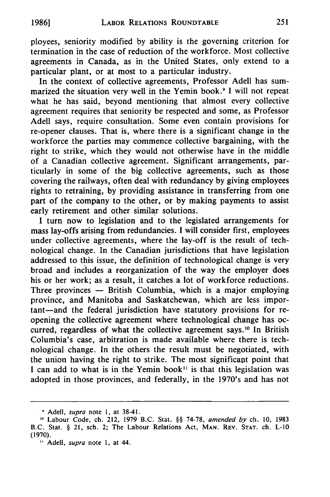ployees, seniority modified by ability is the governing criterion for termination in the case of reduction of the workforce. Most collective agreements in Canada, as in the United States, only extend to a particular plant, or at most to a particular industry.

In the context of collective agreements, Professor Adell has summarized the situation very well in the Yemin book.<sup>9</sup> I will not repeat what he has said, beyond mentioning that almost every collective agreement requires that seniority be respected and some, as Professor Adell says, require consultation. Some even contain provisions for re-opener clauses. That is, where there is a significant change in the workforce the parties may commence collective bargaining, with the right to strike, which they would not otherwise have in the middle of a Canadian collective agreement. Significant arrangements, particularly in some of the big collective agreements, such as those covering the railways, often deal with redundancy by giving employees rights to retraining, by providing assistance in transferring from one part of the company to the other, or by making payments to assist early retirement and other similar solutions.

I turn now to legislation and to the legislated arrangements for mass lay-offs arising from redundancies. I will consider first, employees under collective agreements, where the lay-off is the result of technological change. In the Canadian jurisdictions that have legislation addressed to this issue, the definition of technological change is very broad and includes a reorganization of the way the employer does his or her work; as a result, it catches a lot of workforce reductions. Three provinces  $-$  British Columbia, which is a major employing province, and Manitoba and Saskatchewan, which are less important-and the federal jurisdiction have statutory provisions for reopening the collective agreement where technological change has occurred, regardless of what the collective agreement says.'0 In British Columbia's case, arbitration is made available where there is technological change. In the others the result must be negotiated, with the union having the right to strike. The most significant point that I can add to what is in the Yemin book<sup> $11$ </sup> is that this legislation was adopted in those provinces, and federally, in the 1970's and has not

Adell, *supra* note **1,** at 38-41.

**<sup>10</sup>** Labour Code, ch. 212, 1979 B.C. Stat. §§ 74-78, *amended by* ch. 10, 1983 B.C. Stat. § **21,** sch. 2; The Labour Relations Act, **MAN. REV. STAT.** ch. L-10 (1970).

<sup>&</sup>quot; Adell, *supra* note **1,** at 44.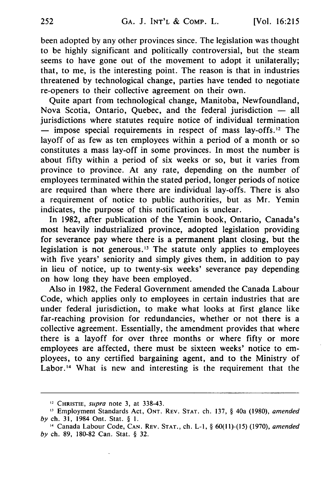been adopted by any other provinces since. The legislation was thought to be highly significant and politically controversial, but the steam seems to have gone out of the movement to adopt it unilaterally; that, to me, is the interesting point. The reason is that in industries threatened by technological change, parties have tended to negotiate re-openers to their collective agreement on their own.

Quite apart from technological change, Manitoba, Newfoundland, Nova Scotia, Ontario, Quebec, and the federal jurisdiction **-** all jurisdictions where statutes require notice of individual termination **-** impose special requirements in respect of mass lay-offs.12 The layoff of as few as ten employees within a period of a month or so constitutes a mass lay-off in some provinces. In most the number is about fifty within a period of six weeks or so, but it varies from province to province. At any rate, depending on the number of employees terminated within the stated period, longer periods of notice are required than where there are individual lay-offs. There is also a requirement of notice to public authorities, but as Mr. Yemin indicates, the purpose of this notification is unclear.

In 1982, after publication of the Yemin book, Ontario, Canada's most heavily industrialized province, adopted legislation providing for severance pay where there is a permanent plant closing, but the legislation is not generous.<sup>13</sup> The statute only applies to employees with five years' seniority and simply gives them, in addition to pay in lieu of notice, up to twenty-six weeks' severance pay depending on how long they have been employed.

Also in 1982, the Federal Government amended the Canada Labour Code, which applies only to employees in certain industries that are under federal jurisdiction, to make what looks at first glance like far-reaching provision for redundancies, whether or not there is a collective agreement. Essentially, the amendment provides that where there is a layoff for over three months or where fifty or more employees are affected, there must be sixteen weeks' notice to employees, to any certified bargaining agent, and to the Ministry of Labor.<sup>14</sup> What is new and interesting is the requirement that the

**<sup>12</sup>**CHRISTIE, supra note 3, at 338-43.

**<sup>1-</sup>** Employment Standards Act, **ONT.** REV. **STAT.** ch. 137, § 40a (1980), amended *by* ch. 31, 1984 Ont. Stat. § **1.**

<sup>14</sup>Canada Labour Code, **CAN.** REV. **STAT.,** ch. L-I, § 60(11)-(15) (1970), amended *by* ch. 89, 180-82 Can. Stat. § 32.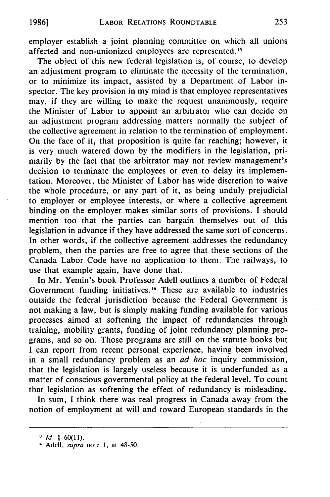employer establish a joint planning committee on which all unions affected and non-unionized employees are represented.<sup>15</sup>

The object of this new federal legislation is, of course, to develop an adjustment program to eliminate the necessity of the termination, or to minimize its impact, assisted by a Department of Labor inspector. The key provision in my mind is that employee representatives may, if they are willing to make the request unanimously, require the Minister of Labor to appoint an arbitrator who can decide on an adjustment program addressing matters normally the subject of the collective agreement in relation to the termination of employment. On the face of it, that proposition is quite far reaching; however, it is very much watered down by the modifiers in the legislation, primarily by the fact that the arbitrator may not review management's decision to terminate the employees or even to delay its implementation. Moreover, the Minister of Labor has wide discretion to waive the whole procedure, or any part of it, as being unduly prejudicial to employer or employee interests, or where a collective agreement binding on the employer makes similar sorts of provisions. I should mention too that the parties can bargain themselves out of this legislation in advance if they have addressed the same sort of concerns. In other words, if the collective agreement addresses the redundancy problem, then the parties are free to agree that these sections of the Canada Labor Code have no application to them. The railways, to use that example again, have done that.

In Mr. Yemin's book Professor Adell outlines a number of Federal Government funding initiatives.<sup>16</sup> These are available to industries outside the federal jurisdiction because the Federal Government is not making a law, but is simply making funding available for various processes aimed at softening the impact of redundancies through training, mobility grants, funding of joint redundancy planning programs, and so on. Those programs are still on the statute books but I can report from recent personal experience, having been involved in a small redundancy problem as an *ad hoc* inquiry commission, that the legislation is largely useless because it is underfunded as a matter of conscious governmental policy at the federal level. To count that legislation as softening the effect of redundancy is misleading.

In sum, I think there was real progress in Canada away from the notion of employment at will and toward European standards in the

*<sup>&</sup>quot; Id.* § **60(11).**

**<sup>16</sup>** Adell, *supra* note **1,** at 48-50.